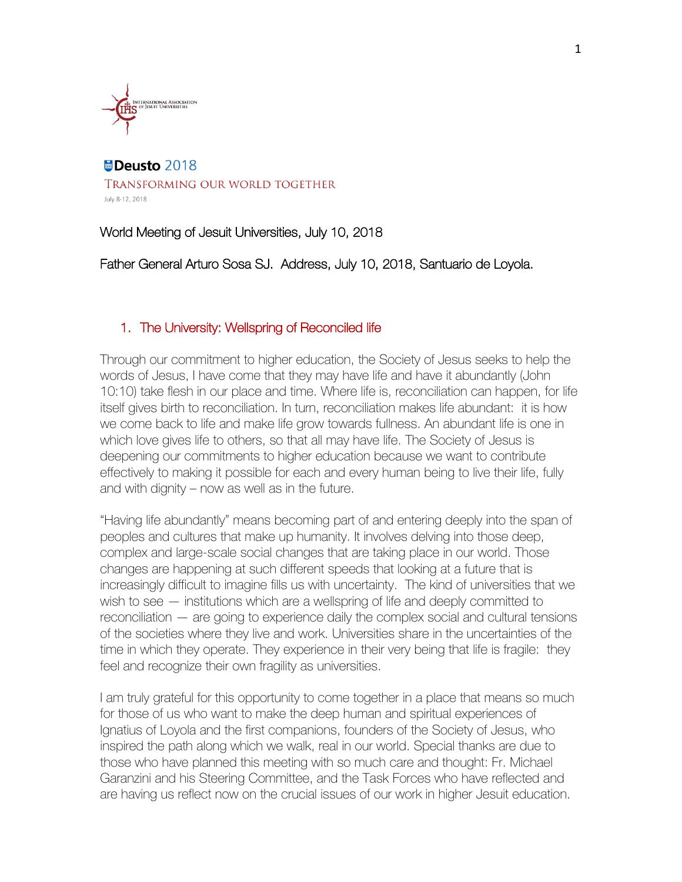

### Deusto 2018 TRANSFORMING OUR WORLD TOGETHER July 8-12, 2018

World Meeting of Jesuit Universities, July 10, 2018

Father General Arturo Sosa SJ. Address, July 10, 2018, Santuario de Loyola.

### 1. The University: Wellspring of Reconciled life

Through our commitment to higher education, the Society of Jesus seeks to help the words of Jesus, I have come that they may have life and have it abundantly (John 10:10) take flesh in our place and time. Where life is, reconciliation can happen, for life itself gives birth to reconciliation. In turn, reconciliation makes life abundant: it is how we come back to life and make life grow towards fullness. An abundant life is one in which love gives life to others, so that all may have life. The Society of Jesus is deepening our commitments to higher education because we want to contribute effectively to making it possible for each and every human being to live their life, fully and with dignity – now as well as in the future.

"Having life abundantly" means becoming part of and entering deeply into the span of peoples and cultures that make up humanity. It involves delving into those deep, complex and large-scale social changes that are taking place in our world. Those changes are happening at such different speeds that looking at a future that is increasingly difficult to imagine fills us with uncertainty. The kind of universities that we wish to see — institutions which are a wellspring of life and deeply committed to reconciliation — are going to experience daily the complex social and cultural tensions of the societies where they live and work. Universities share in the uncertainties of the time in which they operate. They experience in their very being that life is fragile: they feel and recognize their own fragility as universities.

I am truly grateful for this opportunity to come together in a place that means so much for those of us who want to make the deep human and spiritual experiences of Ignatius of Loyola and the first companions, founders of the Society of Jesus, who inspired the path along which we walk, real in our world. Special thanks are due to those who have planned this meeting with so much care and thought: Fr. Michael Garanzini and his Steering Committee, and the Task Forces who have reflected and are having us reflect now on the crucial issues of our work in higher Jesuit education.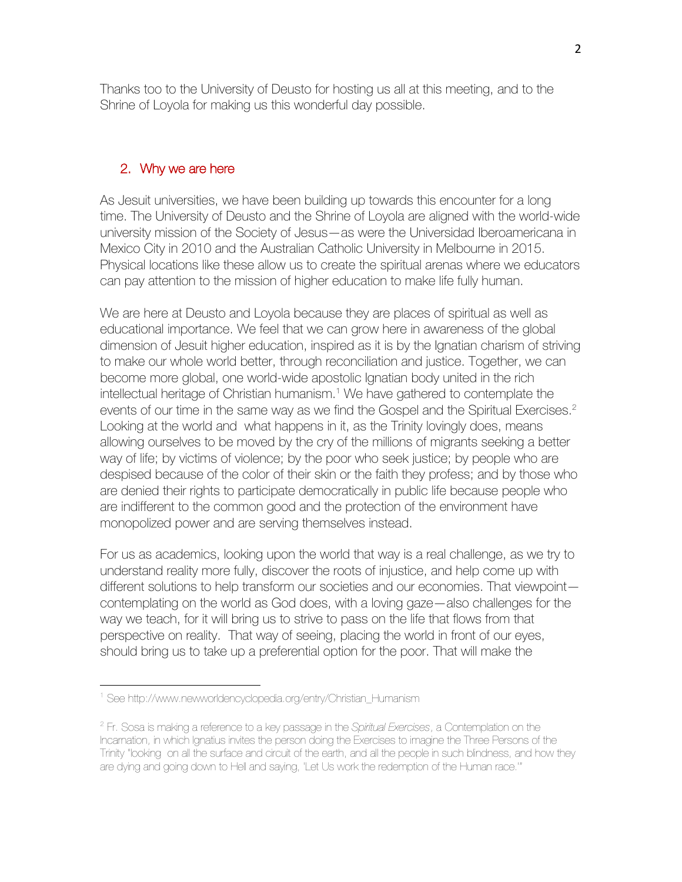Thanks too to the University of Deusto for hosting us all at this meeting, and to the Shrine of Loyola for making us this wonderful day possible.

### 2. Why we are here

As Jesuit universities, we have been building up towards this encounter for a long time. The University of Deusto and the Shrine of Loyola are aligned with the world-wide university mission of the Society of Jesus—as were the Universidad Iberoamericana in Mexico City in 2010 and the Australian Catholic University in Melbourne in 2015. Physical locations like these allow us to create the spiritual arenas where we educators can pay attention to the mission of higher education to make life fully human.

We are here at Deusto and Loyola because they are places of spiritual as well as educational importance. We feel that we can grow here in awareness of the global dimension of Jesuit higher education, inspired as it is by the Ignatian charism of striving to make our whole world better, through reconciliation and justice. Together, we can become more global, one world-wide apostolic Ignatian body united in the rich intellectual heritage of Christian humanism.1 We have gathered to contemplate the events of our time in the same way as we find the Gospel and the Spiritual Exercises.<sup>2</sup> Looking at the world and what happens in it, as the Trinity lovingly does, means allowing ourselves to be moved by the cry of the millions of migrants seeking a better way of life; by victims of violence; by the poor who seek justice; by people who are despised because of the color of their skin or the faith they profess; and by those who are denied their rights to participate democratically in public life because people who are indifferent to the common good and the protection of the environment have monopolized power and are serving themselves instead.

For us as academics, looking upon the world that way is a real challenge, as we try to understand reality more fully, discover the roots of injustice, and help come up with different solutions to help transform our societies and our economies. That viewpoint contemplating on the world as God does, with a loving gaze—also challenges for the way we teach, for it will bring us to strive to pass on the life that flows from that perspective on reality. That way of seeing, placing the world in front of our eyes, should bring us to take up a preferential option for the poor. That will make the

<sup>1</sup> See http://www.newworldencyclopedia.org/entry/Christian\_Humanism

<sup>2</sup> Fr. Sosa is making a reference to a key passage in the *Spiritual Exercises*, a Contemplation on the Incarnation, in which Ignatius invites the person doing the Exercises to imagine the Three Persons of the Trinity "looking on all the surface and circuit of the earth, and all the people in such blindness, and how they are dying and going down to Hell and saying, 'Let Us work the redemption of the Human race.'"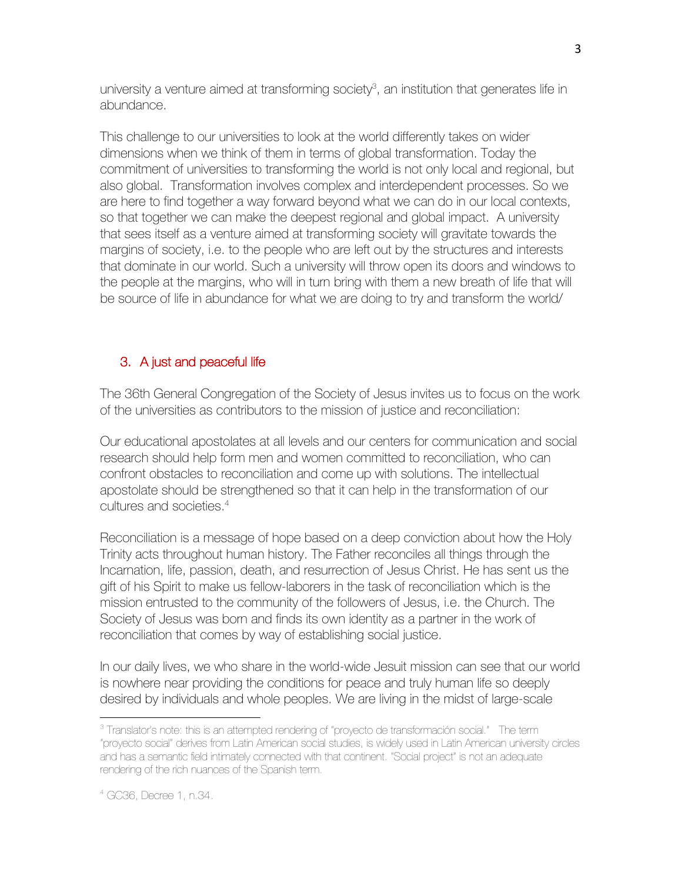university a venture aimed at transforming society<sup>3</sup>, an institution that generates life in abundance.

This challenge to our universities to look at the world differently takes on wider dimensions when we think of them in terms of global transformation. Today the commitment of universities to transforming the world is not only local and regional, but also global. Transformation involves complex and interdependent processes. So we are here to find together a way forward beyond what we can do in our local contexts, so that together we can make the deepest regional and global impact. A university that sees itself as a venture aimed at transforming society will gravitate towards the margins of society, i.e. to the people who are left out by the structures and interests that dominate in our world. Such a university will throw open its doors and windows to the people at the margins, who will in turn bring with them a new breath of life that will be source of life in abundance for what we are doing to try and transform the world/

# 3. A just and peaceful life

The 36th General Congregation of the Society of Jesus invites us to focus on the work of the universities as contributors to the mission of justice and reconciliation:

Our educational apostolates at all levels and our centers for communication and social research should help form men and women committed to reconciliation, who can confront obstacles to reconciliation and come up with solutions. The intellectual apostolate should be strengthened so that it can help in the transformation of our cultures and societies.4

Reconciliation is a message of hope based on a deep conviction about how the Holy Trinity acts throughout human history. The Father reconciles all things through the Incarnation, life, passion, death, and resurrection of Jesus Christ. He has sent us the gift of his Spirit to make us fellow-laborers in the task of reconciliation which is the mission entrusted to the community of the followers of Jesus, i.e. the Church. The Society of Jesus was born and finds its own identity as a partner in the work of reconciliation that comes by way of establishing social justice.

In our daily lives, we who share in the world-wide Jesuit mission can see that our world is nowhere near providing the conditions for peace and truly human life so deeply desired by individuals and whole peoples. We are living in the midst of large-scale

<sup>&</sup>lt;sup>3</sup> Translator's note: this is an attempted rendering of "proyecto de transformación social." The term "proyecto social" derives from Latin American social studies, is widely used in Latin American university circles and has a semantic field intimately connected with that continent. "Social project" is not an adequate rendering of the rich nuances of the Spanish term.

<sup>4</sup> GC36, Decree 1, n.34.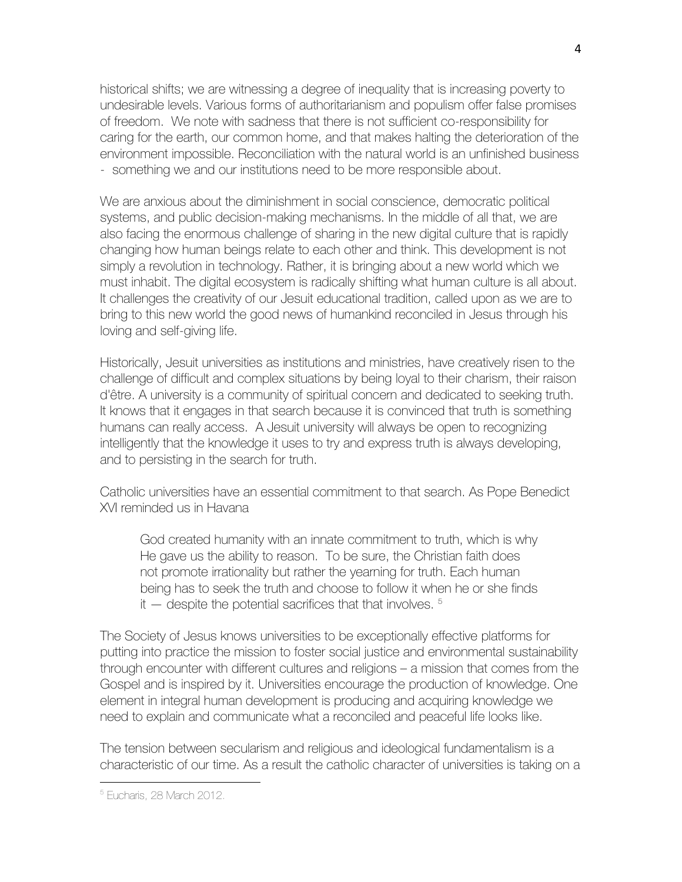historical shifts; we are witnessing a degree of inequality that is increasing poverty to undesirable levels. Various forms of authoritarianism and populism offer false promises of freedom. We note with sadness that there is not sufficient co-responsibility for caring for the earth, our common home, and that makes halting the deterioration of the environment impossible. Reconciliation with the natural world is an unfinished business - something we and our institutions need to be more responsible about.

We are anxious about the diminishment in social conscience, democratic political systems, and public decision-making mechanisms. In the middle of all that, we are also facing the enormous challenge of sharing in the new digital culture that is rapidly changing how human beings relate to each other and think. This development is not simply a revolution in technology. Rather, it is bringing about a new world which we must inhabit. The digital ecosystem is radically shifting what human culture is all about. It challenges the creativity of our Jesuit educational tradition, called upon as we are to bring to this new world the good news of humankind reconciled in Jesus through his loving and self-giving life.

Historically, Jesuit universities as institutions and ministries, have creatively risen to the challenge of difficult and complex situations by being loyal to their charism, their raison d'être. A university is a community of spiritual concern and dedicated to seeking truth. It knows that it engages in that search because it is convinced that truth is something humans can really access. A Jesuit university will always be open to recognizing intelligently that the knowledge it uses to try and express truth is always developing, and to persisting in the search for truth.

Catholic universities have an essential commitment to that search. As Pope Benedict XVI reminded us in Havana

God created humanity with an innate commitment to truth, which is why He gave us the ability to reason. To be sure, the Christian faith does not promote irrationality but rather the yearning for truth. Each human being has to seek the truth and choose to follow it when he or she finds it  $-$  despite the potential sacrifices that that involves.  $5$ 

The Society of Jesus knows universities to be exceptionally effective platforms for putting into practice the mission to foster social justice and environmental sustainability through encounter with different cultures and religions – a mission that comes from the Gospel and is inspired by it. Universities encourage the production of knowledge. One element in integral human development is producing and acquiring knowledge we need to explain and communicate what a reconciled and peaceful life looks like.

The tension between secularism and religious and ideological fundamentalism is a characteristic of our time. As a result the catholic character of universities is taking on a

<sup>5</sup> Eucharis, 28 March 2012.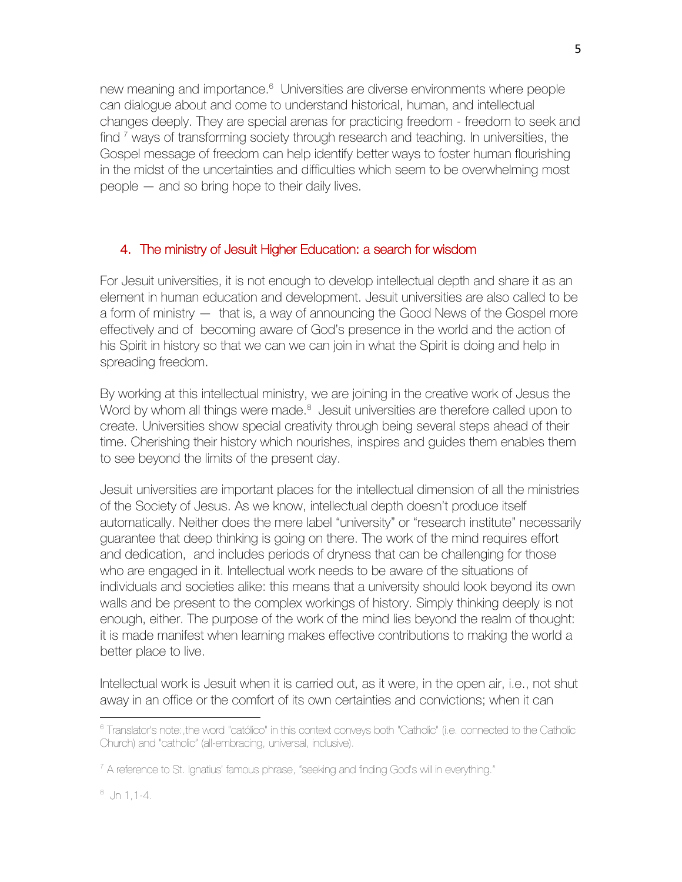new meaning and importance.<sup>6</sup> Universities are diverse environments where people can dialogue about and come to understand historical, human, and intellectual changes deeply. They are special arenas for practicing freedom - freedom to seek and find <sup>7</sup> ways of transforming society through research and teaching. In universities, the Gospel message of freedom can help identify better ways to foster human flourishing in the midst of the uncertainties and difficulties which seem to be overwhelming most people — and so bring hope to their daily lives.

# 4. The ministry of Jesuit Higher Education: a search for wisdom

For Jesuit universities, it is not enough to develop intellectual depth and share it as an element in human education and development. Jesuit universities are also called to be a form of ministry — that is, a way of announcing the Good News of the Gospel more effectively and of becoming aware of God's presence in the world and the action of his Spirit in history so that we can we can join in what the Spirit is doing and help in spreading freedom.

By working at this intellectual ministry, we are joining in the creative work of Jesus the Word by whom all things were made.<sup>8</sup> Jesuit universities are therefore called upon to create. Universities show special creativity through being several steps ahead of their time. Cherishing their history which nourishes, inspires and guides them enables them to see beyond the limits of the present day.

Jesuit universities are important places for the intellectual dimension of all the ministries of the Society of Jesus. As we know, intellectual depth doesn't produce itself automatically. Neither does the mere label "university" or "research institute" necessarily guarantee that deep thinking is going on there. The work of the mind requires effort and dedication, and includes periods of dryness that can be challenging for those who are engaged in it. Intellectual work needs to be aware of the situations of individuals and societies alike: this means that a university should look beyond its own walls and be present to the complex workings of history. Simply thinking deeply is not enough, either. The purpose of the work of the mind lies beyond the realm of thought: it is made manifest when learning makes effective contributions to making the world a better place to live.

Intellectual work is Jesuit when it is carried out, as it were, in the open air, i.e., not shut away in an office or the comfort of its own certainties and convictions; when it can

 $8$  Jn 1, 1-4.

<sup>&</sup>lt;sup>6</sup> Translator's note:,the word "católico" in this context conveys both "Catholic" (i.e. connected to the Catholic Church) and "catholic" (all-embracing, universal, inclusive).

 $7$  A reference to St. Ignatius' famous phrase, "seeking and finding God's will in everything."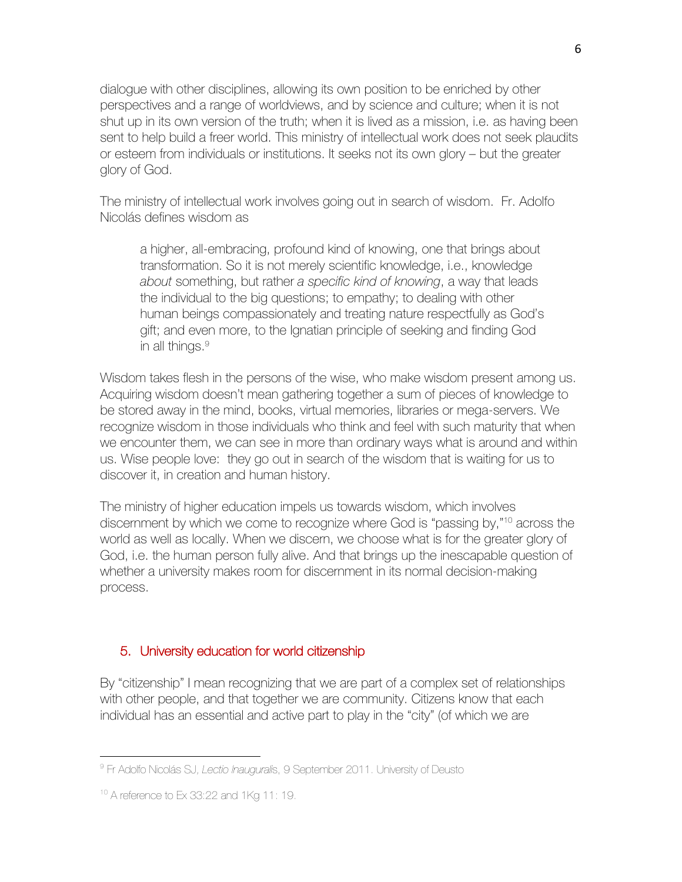dialogue with other disciplines, allowing its own position to be enriched by other perspectives and a range of worldviews, and by science and culture; when it is not shut up in its own version of the truth; when it is lived as a mission, i.e. as having been sent to help build a freer world. This ministry of intellectual work does not seek plaudits or esteem from individuals or institutions. It seeks not its own glory – but the greater glory of God.

The ministry of intellectual work involves going out in search of wisdom. Fr. Adolfo Nicolás defines wisdom as

a higher, all-embracing, profound kind of knowing, one that brings about transformation. So it is not merely scientific knowledge, i.e., knowledge *about* something, but rather *a specific kind of knowing*, a way that leads the individual to the big questions; to empathy; to dealing with other human beings compassionately and treating nature respectfully as God's gift; and even more, to the Ignatian principle of seeking and finding God in all things. $9$ 

Wisdom takes flesh in the persons of the wise, who make wisdom present among us. Acquiring wisdom doesn't mean gathering together a sum of pieces of knowledge to be stored away in the mind, books, virtual memories, libraries or mega-servers. We recognize wisdom in those individuals who think and feel with such maturity that when we encounter them, we can see in more than ordinary ways what is around and within us. Wise people love: they go out in search of the wisdom that is waiting for us to discover it, in creation and human history.

The ministry of higher education impels us towards wisdom, which involves discernment by which we come to recognize where God is "passing by,"10 across the world as well as locally. When we discern, we choose what is for the greater glory of God, i.e. the human person fully alive. And that brings up the inescapable question of whether a university makes room for discernment in its normal decision-making process.

### 5. University education for world citizenship

By "citizenship" I mean recognizing that we are part of a complex set of relationships with other people, and that together we are community. Citizens know that each individual has an essential and active part to play in the "city" (of which we are

<sup>9</sup> Fr Adolfo Nicolás SJ, *Lectio Inaugurali*s, 9 September 2011. University of Deusto

<sup>10</sup> A reference to Ex 33:22 and 1Kg 11: 19.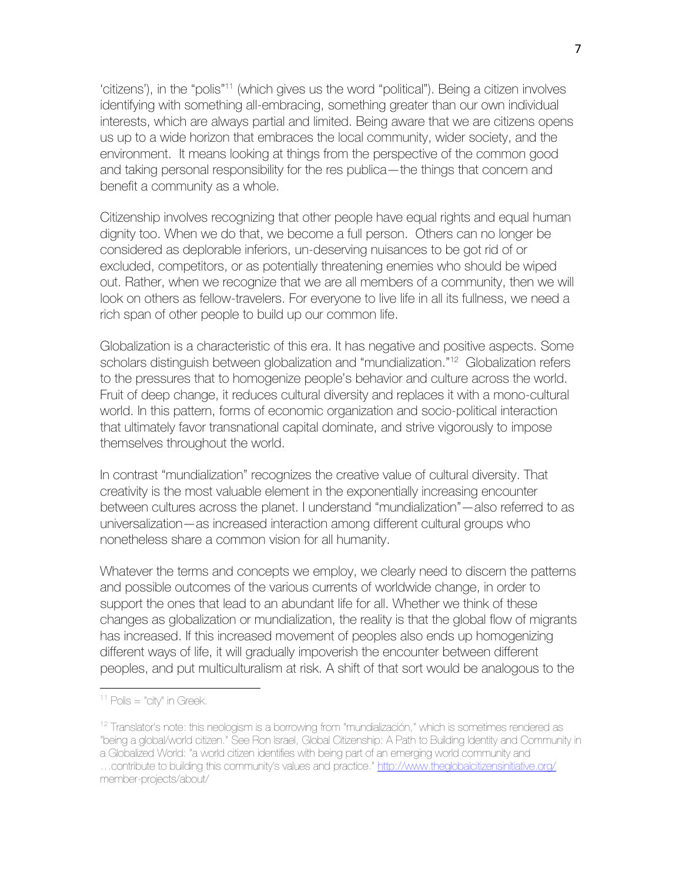'citizens'), in the "polis"<sup>11</sup> (which gives us the word "political"). Being a citizen involves identifying with something all-embracing, something greater than our own individual interests, which are always partial and limited. Being aware that we are citizens opens us up to a wide horizon that embraces the local community, wider society, and the environment. It means looking at things from the perspective of the common good and taking personal responsibility for the res publica—the things that concern and benefit a community as a whole.

Citizenship involves recognizing that other people have equal rights and equal human dignity too. When we do that, we become a full person. Others can no longer be considered as deplorable inferiors, un-deserving nuisances to be got rid of or excluded, competitors, or as potentially threatening enemies who should be wiped out. Rather, when we recognize that we are all members of a community, then we will look on others as fellow-travelers. For everyone to live life in all its fullness, we need a rich span of other people to build up our common life.

Globalization is a characteristic of this era. It has negative and positive aspects. Some scholars distinguish between globalization and "mundialization." 12 Globalization refers to the pressures that to homogenize people's behavior and culture across the world. Fruit of deep change, it reduces cultural diversity and replaces it with a mono-cultural world. In this pattern, forms of economic organization and socio-political interaction that ultimately favor transnational capital dominate, and strive vigorously to impose themselves throughout the world.

In contrast "mundialization" recognizes the creative value of cultural diversity. That creativity is the most valuable element in the exponentially increasing encounter between cultures across the planet. I understand "mundialization"—also referred to as universalization—as increased interaction among different cultural groups who nonetheless share a common vision for all humanity.

Whatever the terms and concepts we employ, we clearly need to discern the patterns and possible outcomes of the various currents of worldwide change, in order to support the ones that lead to an abundant life for all. Whether we think of these changes as globalization or mundialization, the reality is that the global flow of migrants has increased. If this increased movement of peoples also ends up homogenizing different ways of life, it will gradually impoverish the encounter between different peoples, and put multiculturalism at risk. A shift of that sort would be analogous to the

 $11$  Polis = "city" in Greek.

 $12$  Translator's note: this neologism is a borrowing from "mundialización," which is sometimes rendered as "being a global/world citizen." See Ron Israel, Global Citizenship: A Path to Building Identity and Community in a Globalized World: "a world citizen identifies with being part of an emerging world community and ... contribute to building this community's values and practice." http://www.theglobalcitizensinitiative.org/ member-projects/about/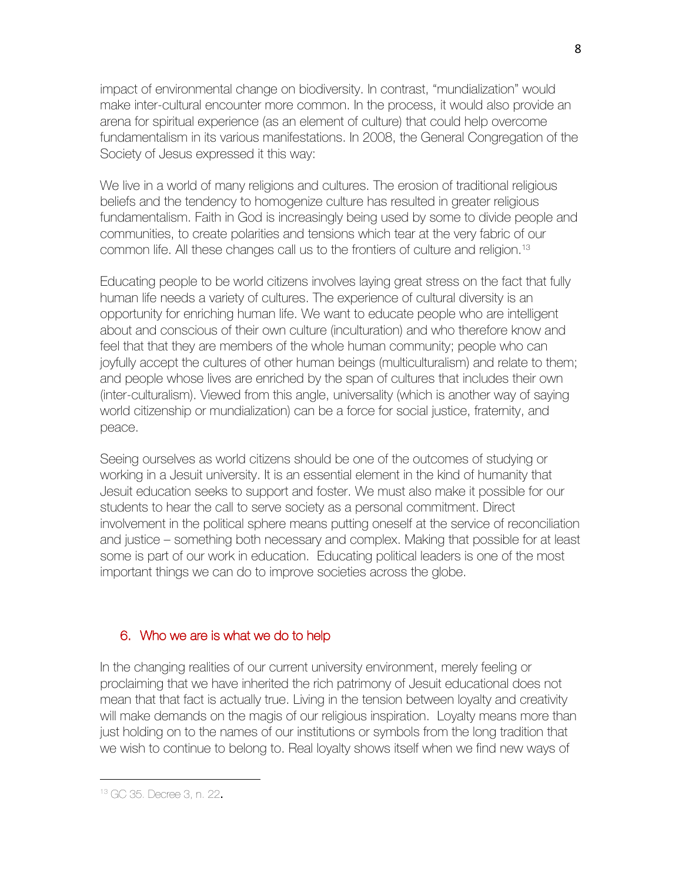impact of environmental change on biodiversity. In contrast, "mundialization" would make inter-cultural encounter more common. In the process, it would also provide an arena for spiritual experience (as an element of culture) that could help overcome fundamentalism in its various manifestations. In 2008, the General Congregation of the Society of Jesus expressed it this way:

We live in a world of many religions and cultures. The erosion of traditional religious beliefs and the tendency to homogenize culture has resulted in greater religious fundamentalism. Faith in God is increasingly being used by some to divide people and communities, to create polarities and tensions which tear at the very fabric of our common life. All these changes call us to the frontiers of culture and religion.13

Educating people to be world citizens involves laying great stress on the fact that fully human life needs a variety of cultures. The experience of cultural diversity is an opportunity for enriching human life. We want to educate people who are intelligent about and conscious of their own culture (inculturation) and who therefore know and feel that that they are members of the whole human community; people who can joyfully accept the cultures of other human beings (multiculturalism) and relate to them; and people whose lives are enriched by the span of cultures that includes their own (inter-culturalism). Viewed from this angle, universality (which is another way of saying world citizenship or mundialization) can be a force for social justice, fraternity, and peace.

Seeing ourselves as world citizens should be one of the outcomes of studying or working in a Jesuit university. It is an essential element in the kind of humanity that Jesuit education seeks to support and foster. We must also make it possible for our students to hear the call to serve society as a personal commitment. Direct involvement in the political sphere means putting oneself at the service of reconciliation and justice – something both necessary and complex. Making that possible for at least some is part of our work in education. Educating political leaders is one of the most important things we can do to improve societies across the globe.

#### 6. Who we are is what we do to help

In the changing realities of our current university environment, merely feeling or proclaiming that we have inherited the rich patrimony of Jesuit educational does not mean that that fact is actually true. Living in the tension between loyalty and creativity will make demands on the magis of our religious inspiration. Loyalty means more than just holding on to the names of our institutions or symbols from the long tradition that we wish to continue to belong to. Real loyalty shows itself when we find new ways of

<sup>13</sup> GC 35. Decree 3, n. 22.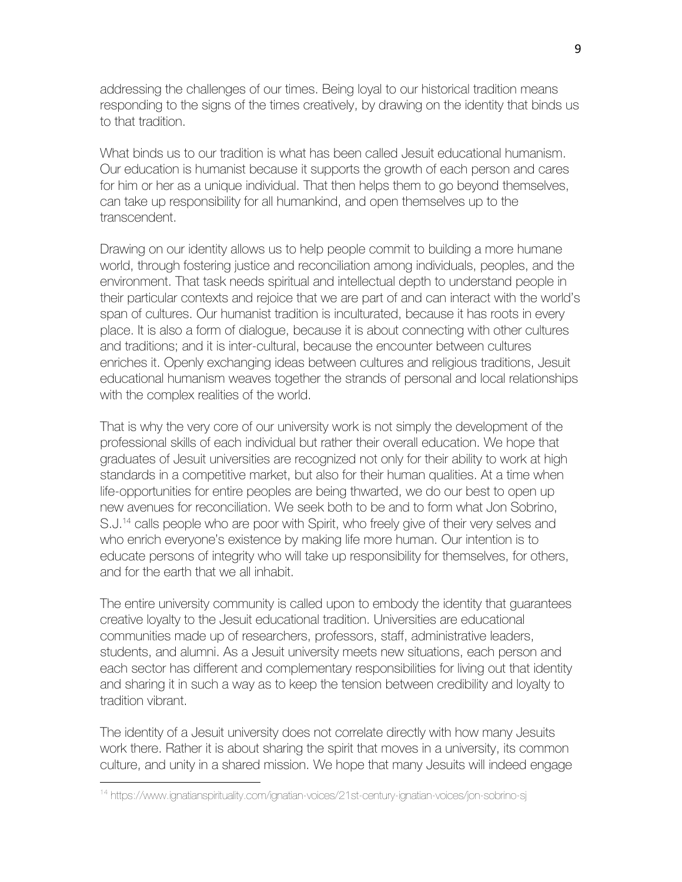addressing the challenges of our times. Being loyal to our historical tradition means responding to the signs of the times creatively, by drawing on the identity that binds us to that tradition.

What binds us to our tradition is what has been called Jesuit educational humanism. Our education is humanist because it supports the growth of each person and cares for him or her as a unique individual. That then helps them to go beyond themselves, can take up responsibility for all humankind, and open themselves up to the transcendent.

Drawing on our identity allows us to help people commit to building a more humane world, through fostering justice and reconciliation among individuals, peoples, and the environment. That task needs spiritual and intellectual depth to understand people in their particular contexts and rejoice that we are part of and can interact with the world's span of cultures. Our humanist tradition is inculturated, because it has roots in every place. It is also a form of dialogue, because it is about connecting with other cultures and traditions; and it is inter-cultural, because the encounter between cultures enriches it. Openly exchanging ideas between cultures and religious traditions, Jesuit educational humanism weaves together the strands of personal and local relationships with the complex realities of the world.

That is why the very core of our university work is not simply the development of the professional skills of each individual but rather their overall education. We hope that graduates of Jesuit universities are recognized not only for their ability to work at high standards in a competitive market, but also for their human qualities. At a time when life-opportunities for entire peoples are being thwarted, we do our best to open up new avenues for reconciliation. We seek both to be and to form what Jon Sobrino, S.J.<sup>14</sup> calls people who are poor with Spirit, who freely give of their very selves and who enrich everyone's existence by making life more human. Our intention is to educate persons of integrity who will take up responsibility for themselves, for others, and for the earth that we all inhabit.

The entire university community is called upon to embody the identity that guarantees creative loyalty to the Jesuit educational tradition. Universities are educational communities made up of researchers, professors, staff, administrative leaders, students, and alumni. As a Jesuit university meets new situations, each person and each sector has different and complementary responsibilities for living out that identity and sharing it in such a way as to keep the tension between credibility and loyalty to tradition vibrant.

The identity of a Jesuit university does not correlate directly with how many Jesuits work there. Rather it is about sharing the spirit that moves in a university, its common culture, and unity in a shared mission. We hope that many Jesuits will indeed engage

<sup>14</sup> https://www.ignatianspirituality.com/ignatian-voices/21st-century-ignatian-voices/jon-sobrino-sj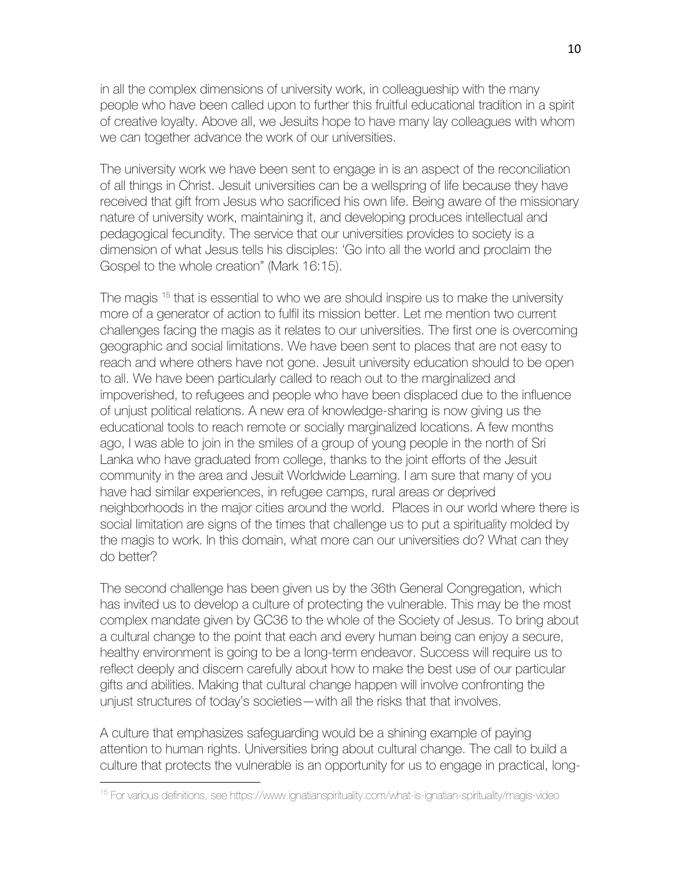in all the complex dimensions of university work, in colleagueship with the many people who have been called upon to further this fruitful educational tradition in a spirit of creative loyalty. Above all, we Jesuits hope to have many lay colleagues with whom we can together advance the work of our universities.

The university work we have been sent to engage in is an aspect of the reconciliation of all things in Christ. Jesuit universities can be a wellspring of life because they have received that gift from Jesus who sacrificed his own life. Being aware of the missionary nature of university work, maintaining it, and developing produces intellectual and pedagogical fecundity. The service that our universities provides to society is a dimension of what Jesus tells his disciples: 'Go into all the world and proclaim the Gospel to the whole creation" (Mark 16:15).

The magis <sup>15</sup> that is essential to who we are should inspire us to make the university more of a generator of action to fulfil its mission better. Let me mention two current challenges facing the magis as it relates to our universities. The first one is overcoming geographic and social limitations. We have been sent to places that are not easy to reach and where others have not gone. Jesuit university education should to be open to all. We have been particularly called to reach out to the marginalized and impoverished, to refugees and people who have been displaced due to the influence of unjust political relations. A new era of knowledge-sharing is now giving us the educational tools to reach remote or socially marginalized locations. A few months ago, I was able to join in the smiles of a group of young people in the north of Sri Lanka who have graduated from college, thanks to the joint efforts of the Jesuit community in the area and Jesuit Worldwide Learning. I am sure that many of you have had similar experiences, in refugee camps, rural areas or deprived neighborhoods in the major cities around the world. Places in our world where there is social limitation are signs of the times that challenge us to put a spirituality molded by the magis to work. In this domain, what more can our universities do? What can they do better?

The second challenge has been given us by the 36th General Congregation, which has invited us to develop a culture of protecting the vulnerable. This may be the most complex mandate given by GC36 to the whole of the Society of Jesus. To bring about a cultural change to the point that each and every human being can enjoy a secure, healthy environment is going to be a long-term endeavor. Success will require us to reflect deeply and discern carefully about how to make the best use of our particular gifts and abilities. Making that cultural change happen will involve confronting the unjust structures of today's societies—with all the risks that that involves.

A culture that emphasizes safeguarding would be a shining example of paying attention to human rights. Universities bring about cultural change. The call to build a culture that protects the vulnerable is an opportunity for us to engage in practical, long-

<sup>15</sup> For various definitions, see https://www.ignatianspirituality.com/what-is-ignatian-spirituality/magis-video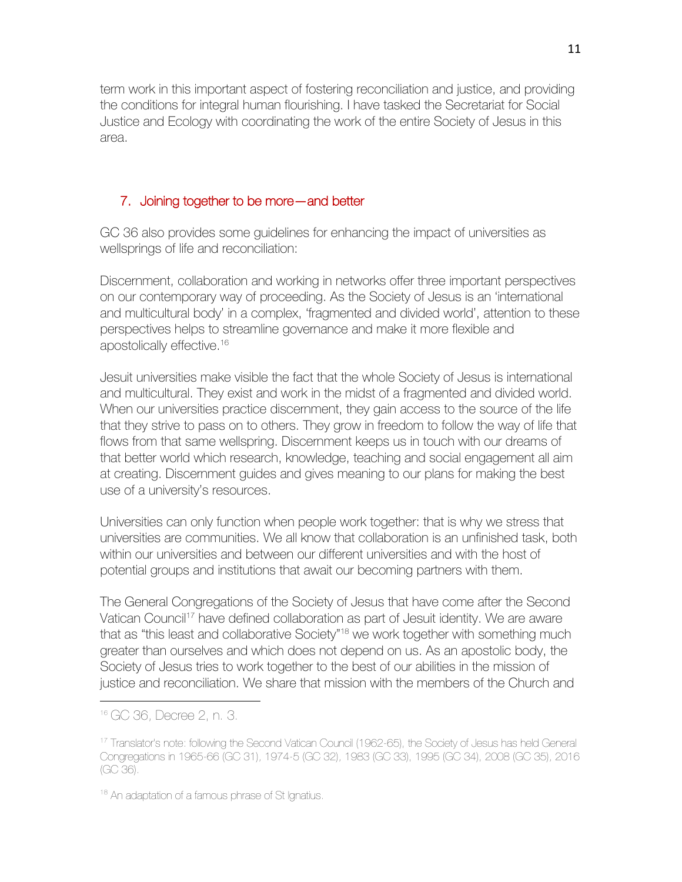term work in this important aspect of fostering reconciliation and justice, and providing the conditions for integral human flourishing. I have tasked the Secretariat for Social Justice and Ecology with coordinating the work of the entire Society of Jesus in this area.

# 7. Joining together to be more—and better

GC 36 also provides some guidelines for enhancing the impact of universities as wellsprings of life and reconciliation:

Discernment, collaboration and working in networks offer three important perspectives on our contemporary way of proceeding. As the Society of Jesus is an 'international and multicultural body' in a complex, 'fragmented and divided world', attention to these perspectives helps to streamline governance and make it more flexible and apostolically effective.16

Jesuit universities make visible the fact that the whole Society of Jesus is international and multicultural. They exist and work in the midst of a fragmented and divided world. When our universities practice discernment, they gain access to the source of the life that they strive to pass on to others. They grow in freedom to follow the way of life that flows from that same wellspring. Discernment keeps us in touch with our dreams of that better world which research, knowledge, teaching and social engagement all aim at creating. Discernment guides and gives meaning to our plans for making the best use of a university's resources.

Universities can only function when people work together: that is why we stress that universities are communities. We all know that collaboration is an unfinished task, both within our universities and between our different universities and with the host of potential groups and institutions that await our becoming partners with them.

The General Congregations of the Society of Jesus that have come after the Second Vatican Council<sup>17</sup> have defined collaboration as part of Jesuit identity. We are aware that as "this least and collaborative Society"<sup>18</sup> we work together with something much greater than ourselves and which does not depend on us. As an apostolic body, the Society of Jesus tries to work together to the best of our abilities in the mission of justice and reconciliation. We share that mission with the members of the Church and

<sup>16</sup> GC 36, Decree 2, n. 3.

<sup>17</sup> Translator's note: following the Second Vatican Council (1962-65), the Society of Jesus has held General Congregations in 1965-66 (GC 31), 1974-5 (GC 32), 1983 (GC 33), 1995 (GC 34), 2008 (GC 35), 2016 (GC 36).

<sup>&</sup>lt;sup>18</sup> An adaptation of a famous phrase of St Ignatius.